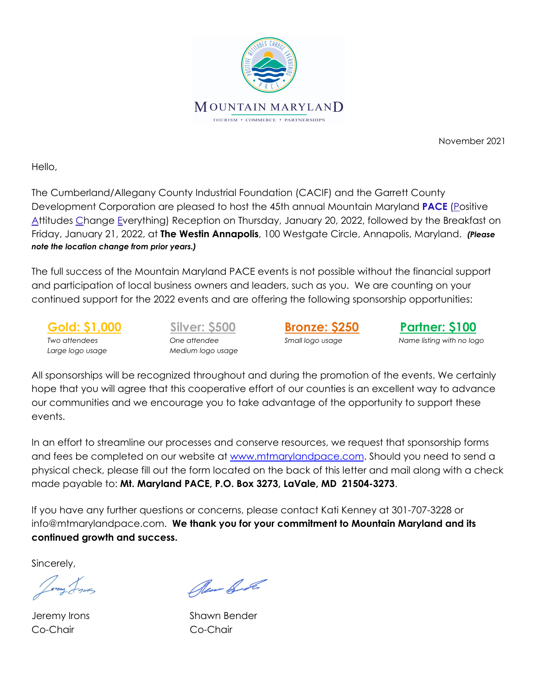

November 2021

Hello,

The Cumberland/Allegany County Industrial Foundation (CACIF) and the Garrett County Development Corporation are pleased to host the 45th annual Mountain Maryland **PACE** (Positive Attitudes Change Everything) Reception on Thursday, January 20, 2022, followed by the Breakfast on Friday, January 21, 2022, at **The Westin Annapolis**, 100 Westgate Circle, Annapolis, Maryland. *(Please note the location change from prior years.)*

The full success of the Mountain Maryland PACE events is not possible without the financial support and participation of local business owners and leaders, such as you. We are counting on your continued support for the 2022 events and are offering the following sponsorship opportunities:

*Large logo usage Medium logo usage*

**Gold: \$1,000 Silver: \$500 Bronze: \$250 Partner: \$100** *Two attendees One attendee Small logo usage Name listing with no logo*

All sponsorships will be recognized throughout and during the promotion of the events. We certainly hope that you will agree that this cooperative effort of our counties is an excellent way to advance our communities and we encourage you to take advantage of the opportunity to support these events.

In an effort to streamline our processes and conserve resources, we request that sponsorship forms and fees be completed on our website at [www.mtmarylandpace.com](http://www.mtmarylandpace.com). Should you need to send a physical check, please fill out the form located on the back of this letter and mail along with a check made payable to: **Mt. Maryland PACE, P.O. Box 3273, LaVale, MD 21504-3273**.

If you have any further questions or concerns, please contact Kati Kenney at 301-707-3228 or info@mtmarylandpace.com. **We thank you for your commitment to Mountain Maryland and its continued growth and success.**

Sincerely,

Co-Chair Co-Chair

Per & de

Jeremy Irons Shawn Bender